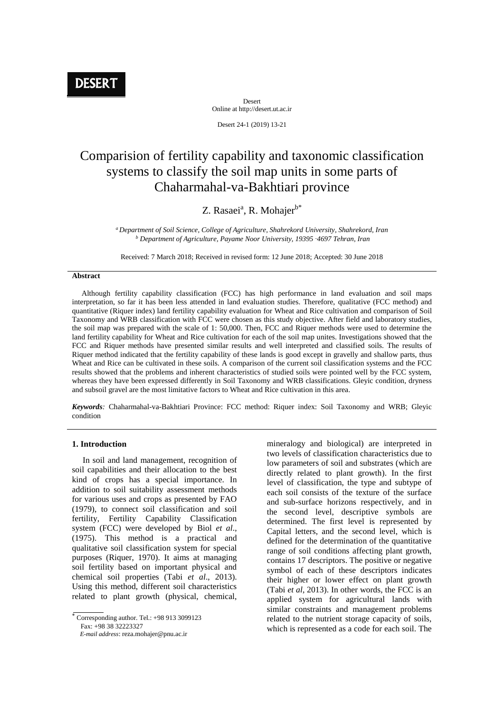Desert Online at http://desert.ut.ac.ir

Desert 24-1 (2019) 13-21

# Comparision of fertility capability and taxonomic classification systems to classify the soil map units in some parts of Chaharmahal-va-Bakhtiari province

## Z. Rasaei<sup>a</sup>, R. Mohajer<sup>b\*</sup>

*<sup>a</sup>Department of Soil Science, College of Agriculture, Shahrekord University, Shahrekord, Iran <sup>b</sup> Department of Agriculture, Payame Noor University, 19395*‑*4697 Tehran, Iran* 

Received: 7 March 2018; Received in revised form: 12 June 2018; Accepted: 30 June 2018

#### **Abstract**

 Although fertility capability classification (FCC) has high performance in land evaluation and soil maps interpretation, so far it has been less attended in land evaluation studies. Therefore, qualitative (FCC method) and quantitative (Riquer index) land fertility capability evaluation for Wheat and Rice cultivation and comparison of Soil Taxonomy and WRB classification with FCC were chosen as this study objective. After field and laboratory studies, the soil map was prepared with the scale of 1: 50,000. Then, FCC and Riquer methods were used to determine the land fertility capability for Wheat and Rice cultivation for each of the soil map unites. Investigations showed that the FCC and Riquer methods have presented similar results and well interpreted and classified soils. The results of Riquer method indicated that the fertility capability of these lands is good except in gravelly and shallow parts, thus Wheat and Rice can be cultivated in these soils. A comparison of the current soil classification systems and the FCC results showed that the problems and inherent characteristics of studied soils were pointed well by the FCC system, whereas they have been expressed differently in Soil Taxonomy and WRB classifications. Gleyic condition, dryness and subsoil gravel are the most limitative factors to Wheat and Rice cultivation in this area.

*Keywords:* Chaharmahal-va-Bakhtiari Province: FCC method: Riquer index: Soil Taxonomy and WRB; Gleyic condition

#### **1. Introduction**

 In soil and land management, recognition of soil capabilities and their allocation to the best kind of crops has a special importance. In addition to soil suitability assessment methods for various uses and crops as presented by FAO (1979), to connect soil classification and soil fertility, Fertility Capability Classification system (FCC) were developed by Biol *et al*., (1975). This method is a practical and qualitative soil classification system for special purposes (Riquer, 1970). It aims at managing soil fertility based on important physical and chemical soil properties (Tabi *et al*., 2013). Using this method, different soil characteristics related to plant growth (physical, chemical,

Fax: +98 38 32223327

mineralogy and biological) are interpreted in two levels of classification characteristics due to low parameters of soil and substrates (which are directly related to plant growth). In the first level of classification, the type and subtype of each soil consists of the texture of the surface and sub-surface horizons respectively, and in the second level, descriptive symbols are determined. The first level is represented by Capital letters, and the second level, which is defined for the determination of the quantitative range of soil conditions affecting plant growth, contains 17 descriptors. The positive or negative symbol of each of these descriptors indicates their higher or lower effect on plant growth (Tabi *et al*, 2013). In other words, the FCC is an applied system for agricultural lands with similar constraints and management problems related to the nutrient storage capacity of soils, which is represented as a code for each soil. The

 $\overline{\overline{C}$  Corresponding author. Tel.: +98 913 3099123

*E-mail address*: reza.mohajer@pnu.ac.ir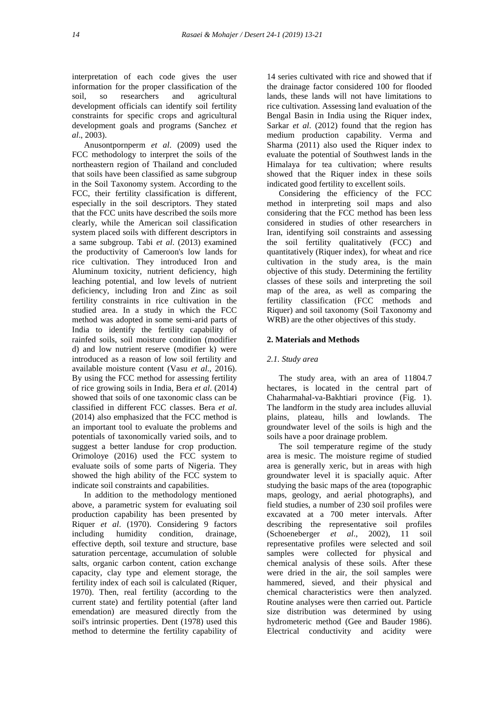interpretation of each code gives the user information for the proper classification of the soil, so researchers and agricultural development officials can identify soil fertility constraints for specific crops and agricultural development goals and programs (Sanchez *et al*., 2003).

Anusontpornperm *et al*. (2009) used the FCC methodology to interpret the soils of the northeastern region of Thailand and concluded that soils have been classified as same subgroup in the Soil Taxonomy system. According to the FCC, their fertility classification is different, especially in the soil descriptors. They stated that the FCC units have described the soils more clearly, while the American soil classification system placed soils with different descriptors in a same subgroup. Tabi *et al*. (2013) examined the productivity of Cameroon's low lands for rice cultivation. They introduced Iron and Aluminum toxicity, nutrient deficiency, high leaching potential, and low levels of nutrient deficiency, including Iron and Zinc as soil fertility constraints in rice cultivation in the studied area. In a study in which the FCC method was adopted in some semi-arid parts of India to identify the fertility capability of rainfed soils, soil moisture condition (modifier d) and low nutrient reserve (modifier k) were introduced as a reason of low soil fertility and available moisture content (Vasu *et al*., 2016). By using the FCC method for assessing fertility of rice growing soils in India, Bera *et al*. (2014) showed that soils of one taxonomic class can be classified in different FCC classes. Bera *et al*. (2014) also emphasized that the FCC method is an important tool to evaluate the problems and potentials of taxonomically varied soils, and to suggest a better landuse for crop production. Orimoloye (2016) used the FCC system to evaluate soils of some parts of Nigeria. They showed the high ability of the FCC system to indicate soil constraints and capabilities.

In addition to the methodology mentioned above, a parametric system for evaluating soil production capability has been presented by Riquer *et al*. (1970). Considering 9 factors including humidity condition, drainage, effective depth, soil texture and structure, base saturation percentage, accumulation of soluble salts, organic carbon content, cation exchange capacity, clay type and element storage, the fertility index of each soil is calculated (Riquer, 1970). Then, real fertility (according to the current state) and fertility potential (after land emendation) are measured directly from the soil's intrinsic properties. Dent (1978) used this method to determine the fertility capability of

14 series cultivated with rice and showed that if the drainage factor considered 100 for flooded lands, these lands will not have limitations to rice cultivation. Assessing land evaluation of the Bengal Basin in India using the Riquer index, Sarkar *et al*. (2012) found that the region has medium production capability. Verma and Sharma (2011) also used the Riquer index to evaluate the potential of Southwest lands in the Himalaya for tea cultivation; where results showed that the Riquer index in these soils indicated good fertility to excellent soils.

Considering the efficiency of the FCC method in interpreting soil maps and also considering that the FCC method has been less considered in studies of other researchers in Iran, identifying soil constraints and assessing the soil fertility qualitatively (FCC) and quantitatively (Riquer index), for wheat and rice cultivation in the study area, is the main objective of this study. Determining the fertility classes of these soils and interpreting the soil map of the area, as well as comparing the fertility classification (FCC methods and Riquer) and soil taxonomy (Soil Taxonomy and WRB) are the other objectives of this study.

#### **2. Materials and Methods**

#### *2.1. Study area*

The study area, with an area of 11804.7 hectares, is located in the central part of Chaharmahal-va-Bakhtiari province (Fig. 1). The landform in the study area includes alluvial plains, plateau, hills and lowlands. The groundwater level of the soils is high and the soils have a poor drainage problem.

The soil temperature regime of the study area is mesic. The moisture regime of studied area is generally xeric, but in areas with high groundwater level it is spacially aquic. After studying the basic maps of the area (topographic maps, geology, and aerial photographs), and field studies, a number of 230 soil profiles were excavated at a 700 meter intervals. After describing the representative soil profiles (Schoeneberger *et al*., 2002), 11 soil representative profiles were selected and soil samples were collected for physical and chemical analysis of these soils. After these were dried in the air, the soil samples were hammered, sieved, and their physical and chemical characteristics were then analyzed. Routine analyses were then carried out. Particle size distribution was determined by using hydrometeric method (Gee and Bauder 1986). Electrical conductivity and acidity were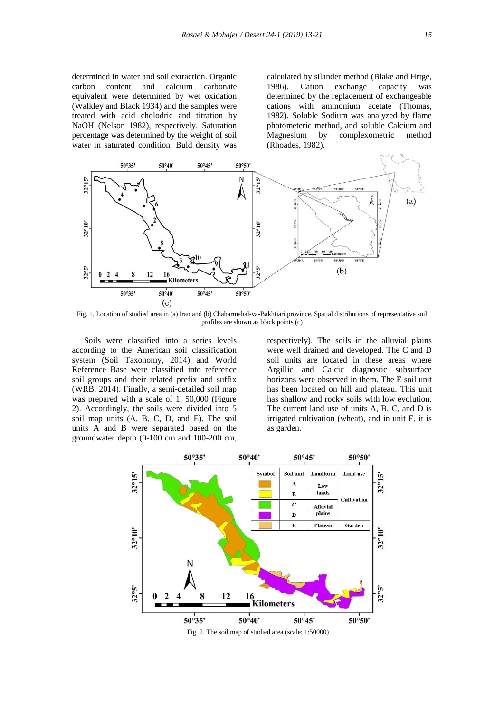determined in water and soil extraction. Organic carbon content and calcium carbonate equivalent were determined by wet oxidation (Walkley and Black 1934) and the samples were treated with acid cholodric and titration by NaOH (Nelson 1982), respectively. Saturation percentage was determined by the weight of soil water in saturated condition. Buld density was

calculated by silander method (Blake and Hrtge, 1986). Cation exchange capacity was determined by the replacement of exchangeable cations with ammonium acetate (Thomas, 1982). Soluble Sodium was analyzed by flame photometeric method, and soluble Calcium and Magnesium by complexometric method (Rhoades, 1982).



Fig. 1. Location of studied area in (a) Iran and (b) Chaharmahal-va-Bakhtiari province. Spatial distributions of representative soil profiles are shown as black points (c)

Soils were classified into a series levels according to the American soil classification system (Soil Taxonomy, 2014) and World Reference Base were classified into reference soil groups and their related prefix and suffix (WRB, 2014). Finally, a semi-detailed soil map was prepared with a scale of 1: 50,000 (Figure 2). Accordingly, the soils were divided into 5 soil map units (A, B, C, D, and E). The soil units A and B were separated based on the groundwater depth (0-100 cm and 100-200 cm,

respectively). The soils in the alluvial plains were well drained and developed. The C and D soil units are located in these areas where Argillic and Calcic diagnostic subsurface horizons were observed in them. The E soil unit has been located on hill and plateau. This unit has shallow and rocky soils with low evolution. The current land use of units A, B, C, and D is irrigated cultivation (wheat), and in unit E, it is as garden.



Fig. 2. The soil map of studied area (scale: 1:50000)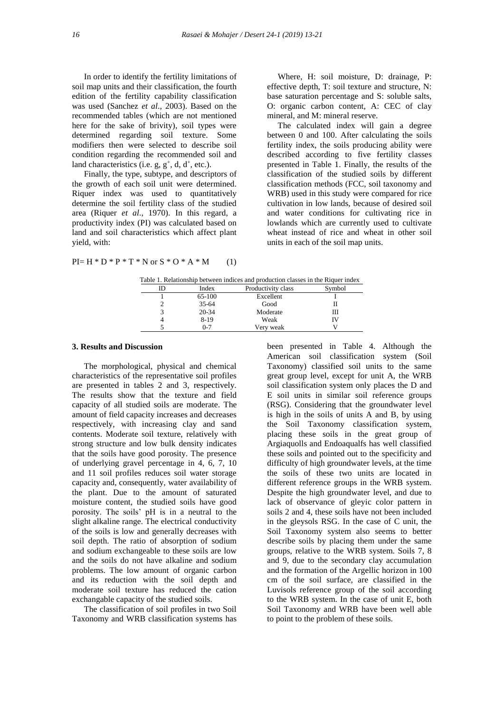In order to identify the fertility limitations of soil map units and their classification, the fourth edition of the fertility capability classification was used (Sanchez *et al*., 2003). Based on the recommended tables (which are not mentioned here for the sake of brivity), soil types were determined regarding soil texture. Some modifiers then were selected to describe soil condition regarding the recommended soil and land characteristics (i.e.  $g, g^+, d, d^+, etc.).$ 

Finally, the type, subtype, and descriptors of the growth of each soil unit were determined. Riquer index was used to quantitatively determine the soil fertility class of the studied area (Riquer *et al*., 1970). In this regard, a productivity index (PI) was calculated based on land and soil characteristics which affect plant yield, with:

$$
PI = H * D * P * T * N \text{ or } S * O * A * M \qquad (1)
$$

 Where, H: soil moisture, D: drainage, P: effective depth, T: soil texture and structure, N: base saturation percentage and S: soluble salts, O: organic carbon content, A: CEC of clay mineral, and M: mineral reserve.

 The calculated index will gain a degree between 0 and 100. After calculating the soils fertility index, the soils producing ability were described according to five fertility classes presented in Table 1. Finally, the results of the classification of the studied soils by different classification methods (FCC, soil taxonomy and WRB) used in this study were compared for rice cultivation in low lands, because of desired soil and water conditions for cultivating rice in lowlands which are currently used to cultivate wheat instead of rice and wheat in other soil units in each of the soil map units.

|  | Table 1. Relationship between indices and production classes in the Riquer index |  |  |  |  |
|--|----------------------------------------------------------------------------------|--|--|--|--|
|  |                                                                                  |  |  |  |  |

|           | able 1. Relationship between mare to and production classes in the Riquer mack |        |
|-----------|--------------------------------------------------------------------------------|--------|
| Index     | Productivity class                                                             | Symbol |
| 65-100    | Excellent                                                                      |        |
| $35 - 64$ | Good                                                                           |        |
| $20 - 34$ | Moderate                                                                       | Ш      |
| $8-19$    | Weak                                                                           |        |
| $0 - 7$   | Verv weak                                                                      |        |
|           |                                                                                |        |

### **3. Results and Discussion**

The morphological, physical and chemical characteristics of the representative soil profiles are presented in tables 2 and 3, respectively. The results show that the texture and field capacity of all studied soils are moderate. The amount of field capacity increases and decreases respectively, with increasing clay and sand contents. Moderate soil texture, relatively with strong structure and low bulk density indicates that the soils have good porosity. The presence of underlying gravel percentage in 4, 6, 7, 10 and 11 soil profiles reduces soil water storage capacity and, consequently, water availability of the plant. Due to the amount of saturated moisture content, the studied soils have good porosity. The soils' pH is in a neutral to the slight alkaline range. The electrical conductivity of the soils is low and generally decreases with soil depth. The ratio of absorption of sodium and sodium exchangeable to these soils are low and the soils do not have alkaline and sodium problems. The low amount of organic carbon and its reduction with the soil depth and moderate soil texture has reduced the cation exchangable capacity of the studied soils.

The classification of soil profiles in two Soil Taxonomy and WRB classification systems has been presented in Table 4. Although the American soil classification system (Soil Taxonomy) classified soil units to the same great group level, except for unit A, the WRB soil classification system only places the D and E soil units in similar soil reference groups (RSG). Considering that the groundwater level is high in the soils of units A and B, by using the Soil Taxonomy classification system, placing these soils in the great group of Argiaquolls and Endoaqualfs has well classified these soils and pointed out to the specificity and difficulty of high groundwater levels, at the time the soils of these two units are located in different reference groups in the WRB system. Despite the high groundwater level, and due to lack of observance of gleyic color pattern in soils 2 and 4, these soils have not been included in the gleysols RSG. In the case of C unit, the Soil Taxonomy system also seems to better describe soils by placing them under the same groups, relative to the WRB system. Soils 7, 8 and 9, due to the secondary clay accumulation and the formation of the Argellic horizon in 100 cm of the soil surface, are classified in the Luvisols reference group of the soil according to the WRB system. In the case of unit E, both Soil Taxonomy and WRB have been well able to point to the problem of these soils.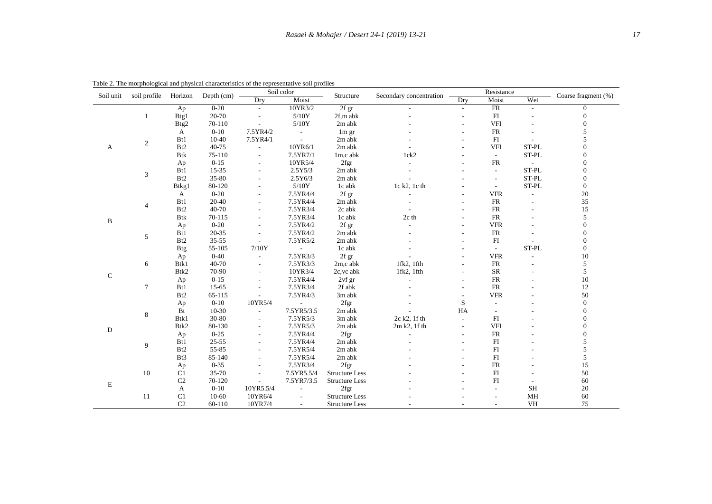| Soil unit    | soil profile   | Horizon            | Depth $(cm)$ |                          | Soil color     | Structure             | Secondary concentration |                          | Resistance     | Coarse fragment (%)      |                  |
|--------------|----------------|--------------------|--------------|--------------------------|----------------|-----------------------|-------------------------|--------------------------|----------------|--------------------------|------------------|
|              |                |                    |              | Drv                      | Moist          |                       |                         | Dry                      | Moist          | Wet                      |                  |
|              |                | Ap                 | $0 - 20$     | $\blacksquare$           | 10YR3/2        | 2f gr                 |                         | $\sim$                   | FR             | $\blacksquare$           | $\overline{0}$   |
|              | 1              | Btg1               | 20-70        |                          | 5/10Y          | 2f,m abk              |                         |                          | FI             |                          | $\boldsymbol{0}$ |
|              |                | Btg2               | 70-110       |                          | $5/10\rm{Y}$   | 2m abk                |                         |                          | <b>VFI</b>     |                          | $\boldsymbol{0}$ |
|              |                | A                  | $0 - 10$     | 7.5YR4/2                 | $\blacksquare$ | $1m$ gr               |                         |                          | <b>FR</b>      |                          | 5                |
|              |                | B <sub>t1</sub>    | $10 - 40$    | 7.5YR4/1                 | ÷,             | 2m abk                |                         |                          | FI             |                          | 5                |
| A            | 2              | B <sub>t2</sub>    | 40-75        | $\overline{a}$           | 10YR6/1        | 2m abk                |                         |                          | <b>VFI</b>     | ST-PL                    | $\overline{0}$   |
|              |                | <b>Btk</b>         | 75-110       | $\blacksquare$           | 7.5YR7/1       | 1m,c abk              | 1ck2                    |                          | $\blacksquare$ | ST-PL                    | $\boldsymbol{0}$ |
|              |                | Ap                 | $0 - 15$     |                          | 10YR5/4        | 2fgr                  |                         |                          | FR             |                          | $\overline{0}$   |
|              |                | Bt1                | $15 - 35$    |                          | 2.5Y5/3        | 2m abk                |                         |                          | $\blacksquare$ | ST-PL                    | $\boldsymbol{0}$ |
|              | $\mathfrak{Z}$ | B <sub>t2</sub>    | 35-80        |                          | 2.5Y6/3        | 2m abk                |                         |                          | $\sim$         | ST-PL                    | $\boldsymbol{0}$ |
|              |                | B <sub>tkg</sub> 1 | 80-120       |                          | $5/10\rm Y$    | $1\mathrm{c}$ abk     | 1c k2, 1c th            |                          | $\blacksquare$ | ST-PL                    | $\boldsymbol{0}$ |
|              |                | A                  | $0 - 20$     |                          | 7.5YR4/4       | 2f gr                 |                         |                          | <b>VFR</b>     | $\overline{\phantom{a}}$ | $20\,$           |
|              |                | Bt1                | $20 - 40$    | $\sim$                   | 7.5YR4/4       | 2m abk                |                         |                          | FR             |                          | 35               |
|              | $\overline{4}$ | Bt2                | 40-70        |                          | 7.5YR3/4       | 2c abk                |                         |                          | ${\sf FR}$     |                          | 15               |
|              |                | <b>Btk</b>         | 70-115       |                          | 7.5YR3/4       | 1c abk                | 2c th                   |                          | ${\sf FR}$     |                          | 5                |
| $\, {\bf B}$ |                | Ap                 | $0 - 20$     | $\blacksquare$           | 7.5YR4/2       | 2f gr                 |                         |                          | <b>VFR</b>     |                          | $\boldsymbol{0}$ |
|              |                | Bt1                | $20 - 35$    | $\overline{a}$           | 7.5YR4/2       | 2m abk                |                         |                          | <b>FR</b>      |                          | $\boldsymbol{0}$ |
|              | 5              | B <sub>t2</sub>    | $35 - 55$    | $\blacksquare$           | 7.5YR5/2       | 2m abk                |                         |                          | FI             |                          | $\boldsymbol{0}$ |
|              |                | <b>Btg</b>         | 55-105       | 7/10Y                    |                | 1c abk                |                         |                          | $\blacksquare$ | ST-PL                    | $\overline{0}$   |
|              |                | Ap                 | $0 - 40$     |                          | 7.5YR3/3       | 2f gr                 |                         |                          | <b>VFR</b>     |                          | $10\,$           |
|              | 6              | Btk1               | 40-70        |                          | 7.5YR3/3       | 2m,c abk              | $1$ fk $2$ , $1$ fth    |                          | ${\sf FR}$     |                          | 5                |
|              |                | Btk2               | 70-90        | $\overline{a}$           | 10YR3/4        | 2c, vc abk            | $1$ fk $2$ , $1$ fth    |                          | ${\sf SR}$     |                          | 5                |
| ${\bf C}$    |                | Ap                 | $0 - 15$     |                          | 7.5YR4/4       | $2vf$ gr              |                         |                          | <b>FR</b>      |                          | $10\,$           |
|              | $\tau$         | Bt1                | 15-65        |                          | 7.5YR3/4       | 2f abk                |                         |                          | ${\sf FR}$     |                          | 12               |
|              |                | B <sub>t2</sub>    | 65-115       |                          | 7.5YR4/3       | 3m abk                |                         |                          | <b>VFR</b>     |                          | 50               |
|              |                | Ap                 | $0 - 10$     | 10YR5/4                  |                | 2fgr                  |                         | $\mathbf S$              |                |                          | $\boldsymbol{0}$ |
|              |                | Bt                 | $10-30$      | $\overline{\phantom{a}}$ | 7.5YR5/3.5     | 2m abk                |                         | HA                       |                |                          | $\boldsymbol{0}$ |
|              | $\,8\,$        | Btk1               | 30-80        | $\overline{\phantom{a}}$ | 7.5YR5/3       | 3m abk                | $2c$ k2, 1f th          | $\overline{a}$           | FI             |                          | $\boldsymbol{0}$ |
|              |                | Btk2               | 80-130       |                          | 7.5YR5/3       | 2m abk                | 2m k2, 1f th            | $\overline{\phantom{a}}$ | <b>VFI</b>     |                          | $\boldsymbol{0}$ |
| D            |                | Ap                 | $0 - 25$     | $\blacksquare$           | 7.5YR4/4       | 2fgr                  |                         | $\overline{\phantom{a}}$ | <b>FR</b>      |                          | $\overline{0}$   |
|              |                | Bt1                | $25 - 55$    |                          | 7.5YR4/4       | 2m abk                |                         |                          | FI             |                          | 5                |
|              | 9              | B <sub>t2</sub>    | 55-85        |                          | 7.5YR5/4       | 2m abk                |                         |                          | FI             |                          | 5                |
|              |                | Bt3                | 85-140       |                          | 7.5YR5/4       | 2m abk                |                         |                          | FI             |                          | $\mathfrak s$    |
|              |                | Ap                 | $0 - 35$     | $\sim$                   | 7.5YR3/4       | 2fgr                  |                         |                          | ${\rm FR}$     |                          | 15               |
|              | 10             | C1                 | 35-70        |                          | 7.5YR5.5/4     | <b>Structure Less</b> |                         |                          | FI             |                          | 50               |
|              |                | C <sub>2</sub>     | 70-120       | $\overline{a}$           | 7.5YR7/3.5     | <b>Structure Less</b> |                         |                          | FI             |                          | 60               |
| E            |                | A                  | $0 - 10$     | 10YR5.5/4                |                | 2fgr                  |                         |                          | $\sim$         | $\operatorname{SH}$      | $20\,$           |
|              | 11             | C1                 | $10 - 60$    | 10YR6/4                  |                | <b>Structure Less</b> |                         |                          |                | MH                       | 60               |
|              |                | C <sub>2</sub>     | 60-110       | 10YR7/4                  | $\blacksquare$ | <b>Structure Less</b> |                         |                          | $\sim$         | <b>VH</b>                | 75               |

Table 2. The morphological and physical characteristics of the representative soil profiles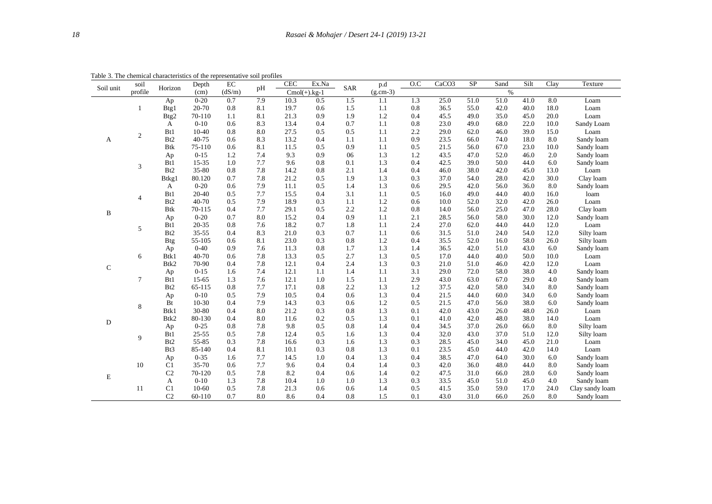| Soil unit    | soil             | Horizon          | Depth     | $\rm EC$ | pH  | <b>CEC</b> | Ex.Na           | SAR | p.d        | O.C     | CaCO <sub>3</sub> | <b>SP</b> | Sand | Silt | Clay               | Texture         |
|--------------|------------------|------------------|-----------|----------|-----|------------|-----------------|-----|------------|---------|-------------------|-----------|------|------|--------------------|-----------------|
|              | profile          |                  | (cm)      | (dS/m)   |     |            | $Cmol(+)$ .kg-1 |     | $(g.cm-3)$ |         |                   |           | $\%$ |      |                    |                 |
|              |                  | Ap               | $0 - 20$  | 0.7      | 7.9 | 10.3       | 0.5             | 1.5 | 1.1        | 1.3     | 25.0              | 51.0      | 51.0 | 41.0 | 8.0                | Loam            |
|              | 1                | Btg1             | 20-70     | 0.8      | 8.1 | 19.7       | 0.6             | 1.5 | 1.1        | $0.8\,$ | 36.5              | 55.0      | 42.0 | 40.0 | 18.0               | Loam            |
|              |                  | Btg2             | 70-110    | 1.1      | 8.1 | 21.3       | 0.9             | 1.9 | 1.2        | 0.4     | 45.5              | 49.0      | 35.0 | 45.0 | 20.0               | Loam            |
|              |                  | A                | $0-10$    | 0.6      | 8.3 | 13.4       | 0.4             | 0.7 | 1.1        | 0.8     | 23.0              | 49.0      | 68.0 | 22.0 | 10.0               | Sandy Loam      |
|              | $\boldsymbol{2}$ | B <sub>t1</sub>  | $10-40$   | 0.8      | 8.0 | 27.5       | 0.5             | 0.5 | 1.1        | 2.2     | 29.0              | 62.0      | 46.0 | 39.0 | 15.0               | Loam            |
| А            |                  | B <sub>t2</sub>  | $40 - 75$ | 0.6      | 8.3 | 13.2       | 0.4             | 1.1 | 1.1        | 0.9     | 23.5              | 66.0      | 74.0 | 18.0 | 8.0                | Sandy loam      |
|              |                  | <b>Btk</b>       | 75-110    | 0.6      | 8.1 | 11.5       | 0.5             | 0.9 | 1.1        | 0.5     | 21.5              | 56.0      | 67.0 | 23.0 | 10.0               | Sandy loam      |
|              |                  | Ap               | $0 - 15$  | 1.2      | 7.4 | 9.3        | 0.9             | 06  | 1.3        | 1.2     | 43.5              | 47.0      | 52.0 | 46.0 | 2.0                | Sandy loam      |
|              | 3                | B <sub>t1</sub>  | 15-35     | 1.0      | 7.7 | 9.6        | 0.8             | 0.1 | 1.3        | 0.4     | 42.5              | 39.0      | 50.0 | 44.0 | 6.0                | Sandy loam      |
|              |                  | B <sub>t2</sub>  | 35-80     | 0.8      | 7.8 | 14.2       | 0.8             | 2.1 | 1.4        | 0.4     | 46.0              | 38.0      | 42.0 | 45.0 | 13.0               | Loam            |
|              |                  | Btkg1            | 80.120    | 0.7      | 7.8 | 21.2       | 0.5             | 1.9 | 1.3        | 0.3     | 37.0              | 54.0      | 28.0 | 42.0 | 30.0               | Clay loam       |
|              |                  | A                | $0 - 20$  | 0.6      | 7.9 | 11.1       | 0.5             | 1.4 | 1.3        | 0.6     | 29.5              | 42.0      | 56.0 | 36.0 | 8.0                | Sandy loam      |
|              | 4                | B <sub>t1</sub>  | 20-40     | 0.5      | 7.7 | 15.5       | 0.4             | 3.1 | 1.1        | 0.5     | 16.0              | 49.0      | 44.0 | 40.0 | 16.0               | loam            |
|              |                  | B <sub>t2</sub>  | 40-70     | 0.5      | 7.9 | 18.9       | 0.3             | 1.1 | 1.2        | 0.6     | 10.0              | 52.0      | 32.0 | 42.0 | 26.0               | Loam            |
| B            |                  | <b>Btk</b>       | 70-115    | 0.4      | 7.7 | 29.1       | 0.5             | 2.2 | 1.2        | 0.8     | 14.0              | 56.0      | 25.0 | 47.0 | 28.0               | Clay loam       |
|              |                  | Ap               | $0 - 20$  | 0.7      | 8.0 | 15.2       | 0.4             | 0.9 | 1.1        | 2.1     | 28.5              | 56.0      | 58.0 | 30.0 | 12.0               | Sandy loam      |
|              | 5                | B <sub>t1</sub>  | 20-35     | 0.8      | 7.6 | 18.2       | 0.7             | 1.8 | 1.1        | 2.4     | 27.0              | 62.0      | 44.0 | 44.0 | 12.0               | Loam            |
|              |                  | B <sub>t2</sub>  | $35 - 55$ | 0.4      | 8.3 | 21.0       | 0.3             | 0.7 | 1.1        | 0.6     | 31.5              | 51.0      | 24.0 | 54.0 | 12.0               | Silty loam      |
|              |                  | <b>Btg</b>       | 55-105    | 0.6      | 8.1 | 23.0       | 0.3             | 0.8 | 1.2        | 0.4     | 35.5              | 52.0      | 16.0 | 58.0 | 26.0<br>Silty loam |                 |
|              |                  | Ap               | $0 - 40$  | 0.9      | 7.6 | 11.3       | 0.8             | 1.7 | 1.3        | 1.4     | 36.5              | 42.0      | 51.0 | 43.0 | 6.0                | Sandy loam      |
|              | 6                | Btk1             | 40-70     | 0.6      | 7.8 | 13.3       | 0.5             | 2.7 | 1.3        | 0.5     | 17.0              | 44.0      | 40.0 | 50.0 | 10.0               | Loam            |
| $\mathsf{C}$ |                  | Btk2             | 70-90     | 0.4      | 7.8 | 12.1       | 0.4             | 2.4 | 1.3        | 0.3     | 21.0              | 51.0      | 46.0 | 42.0 | 12.0               | Loam            |
|              |                  | Ap               | $0 - 15$  | 1.6      | 7.4 | 12.1       | 1.1             | 1.4 | 1.1        | 3.1     | 29.0              | 72.0      | 58.0 | 38.0 | 4.0                | Sandy loam      |
|              | 7                | Bt1              | $15 - 65$ | 1.3      | 7.6 | 12.1       | 1.0             | 1.5 | 1.1        | 2.9     | 43.0              | 63.0      | 67.0 | 29.0 | 4.0                | Sandy loam      |
|              |                  | Bt2              | 65-115    | 0.8      | 7.7 | 17.1       | 0.8             | 2.2 | 1.3        | 1.2     | 37.5              | 42.0      | 58.0 | 34.0 | 8.0                | Sandy loam      |
|              |                  | Ap               | $0-10$    | 0.5      | 7.9 | 10.5       | 0.4             | 0.6 | 1.3        | 0.4     | 21.5              | 44.0      | 60.0 | 34.0 | 6.0                | Sandy loam      |
|              | 8                | Bt               | $10-30$   | 0.4      | 7.9 | 14.3       | 0.3             | 0.6 | 1.2        | 0.5     | 21.5              | 47.0      | 56.0 | 38.0 | 6.0                | Sandy loam      |
|              |                  | Btk1             | 30-80     | 0.4      | 8.0 | 21.2       | 0.3             | 0.8 | 1.3        | 0.1     | 42.0              | 43.0      | 26.0 | 48.0 | 26.0               | Loam            |
| D            |                  | Btk2             | 80-130    | 0.4      | 8.0 | 11.6       | 0.2             | 0.5 | 1.3        | 0.1     | 41.0              | 42.0      | 48.0 | 38.0 | 14.0               | Loam            |
|              |                  | Ap               | $0 - 25$  | 0.8      | 7.8 | 9.8        | 0.5             | 0.8 | 1.4        | 0.4     | 34.5              | 37.0      | 26.0 | 66.0 | 8.0                | Silty loam      |
|              | 9                | B <sub>t1</sub>  | $25 - 55$ | 0.5      | 7.8 | 12.4       | 0.5             | 1.6 | 1.3        | 0.4     | 32.0              | 43.0      | 37.0 | 51.0 | 12.0               | Silty loam      |
|              |                  | Bt2              | 55-85     | 0.3      | 7.8 | 16.6       | 0.3             | 1.6 | 1.3        | 0.3     | 28.5              | 45.0      | 34.0 | 45.0 | 21.0               | Loam            |
|              |                  | B <sub>t</sub> 3 | 85-140    | 0.4      | 8.1 | 10.1       | 0.3             | 0.8 | 1.3        | 0.1     | 23.5              | 45.0      | 44.0 | 42.0 | 14.0               | Loam            |
|              |                  | Ap               | $0 - 35$  | 1.6      | 7.7 | 14.5       | 1.0             | 0.4 | 1.3        | 0.4     | 38.5              | 47.0      | 64.0 | 30.0 | 6.0                | Sandy loam      |
|              | 10               | C <sub>1</sub>   | 35-70     | 0.6      | 7.7 | 9.6        | 0.4             | 0.4 | 1.4        | 0.3     | 42.0              | 36.0      | 48.0 | 44.0 | 8.0                | Sandy loam      |
| E            |                  | C <sub>2</sub>   | 70-120    | 0.5      | 7.8 | 8.2        | 0.4             | 0.6 | 1.4        | 0.2     | 47.5              | 31.0      | 66.0 | 28.0 | 6.0                | Sandy loam      |
|              |                  | A                | $0 - 10$  | 1.3      | 7.8 | 10.4       | 1.0             | 1.0 | 1.3        | 0.3     | 33.5              | 45.0      | 51.0 | 45.0 | 4.0                | Sandy loam      |
|              | 11               | C1               | 10-60     | 0.5      | 7.8 | 21.3       | 0.6             | 0.6 | 1.4        | 0.5     | 41.5              | 35.0      | 59.0 | 17.0 | 24.0               | Clay sandy loam |
|              |                  | C <sub>2</sub>   | 60-110    | 0.7      | 8.0 | 8.6        | 0.4             | 0.8 | 1.5        | 0.1     | 43.0              | 31.0      | 66.0 | 26.0 | 8.0                | Sandy loam      |

Table 3. The chemical characteristics of the representative soil profiles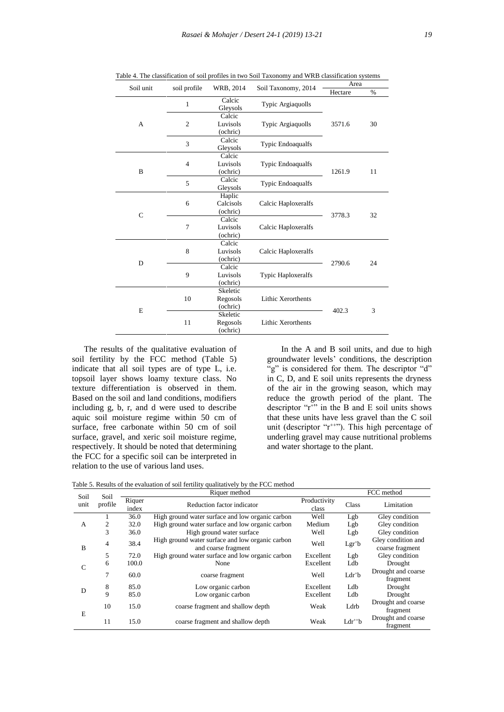| Soil unit    | soil profile   | WRB, 2014 | Soil Taxonomy, 2014       | Area    |      |  |  |
|--------------|----------------|-----------|---------------------------|---------|------|--|--|
|              |                |           |                           | Hectare | $\%$ |  |  |
|              | 1              | Calcic    |                           |         |      |  |  |
|              |                | Gleysols  | Typic Argiaquolls         |         |      |  |  |
|              |                | Calcic    |                           |         |      |  |  |
| A            | $\overline{2}$ | Luvisols  | <b>Typic Argiaquolls</b>  | 3571.6  | 30   |  |  |
|              |                | (ochric)  |                           |         |      |  |  |
|              | 3              | Calcic    |                           |         |      |  |  |
|              |                | Gleysols  | Typic Endoaqualfs         |         |      |  |  |
|              |                | Calcic    |                           |         |      |  |  |
|              | $\overline{4}$ | Luvisols  | Typic Endoaqualfs         |         |      |  |  |
| B            |                | (ochric)  |                           | 1261.9  | 11   |  |  |
|              | 5              | Calcic    |                           |         |      |  |  |
|              |                | Gleysols  | Typic Endoaqualfs         |         |      |  |  |
|              |                | Haplic    |                           |         |      |  |  |
|              | 6              | Calcisols | Calcic Haploxeralfs       |         |      |  |  |
|              |                | (ochric)  |                           | 3778.3  | 32   |  |  |
| $\mathsf{C}$ | 7              | Calcic    |                           |         |      |  |  |
|              |                | Luvisols  | Calcic Haploxeralfs       |         |      |  |  |
|              |                | (ochric)  |                           |         |      |  |  |
|              |                | Calcic    |                           |         |      |  |  |
| D            | 8              | Luvisols  | Calcic Haploxeralfs       |         |      |  |  |
|              |                | (ochric)  |                           | 2790.6  | 24   |  |  |
|              |                | Calcic    |                           |         |      |  |  |
|              | 9              | Luvisols  | Typic Haploxeralfs        |         |      |  |  |
|              |                | (ochric)  |                           |         |      |  |  |
|              |                | Skeletic  |                           |         |      |  |  |
|              | 10             | Regosols  | <b>Lithic Xerorthents</b> |         |      |  |  |
|              |                | (ochric)  |                           | 402.3   | 3    |  |  |
| E            |                | Skeletic  |                           |         |      |  |  |
|              | 11             | Regosols  | <b>Lithic Xerorthents</b> |         |      |  |  |
|              |                | (ochric)  |                           |         |      |  |  |

Table 4. The classification of soil profiles in two Soil Taxonomy and WRB classification systems

The results of the qualitative evaluation of soil fertility by the FCC method (Table 5) indicate that all soil types are of type L, i.e. topsoil layer shows loamy texture class. No texture differentiation is observed in them. Based on the soil and land conditions, modifiers including g, b, r, and d were used to describe aquic soil moisture regime within 50 cm of surface, free carbonate within 50 cm of soil surface, gravel, and xeric soil moisture regime, respectively. It should be noted that determining the FCC for a specific soil can be interpreted in relation to the use of various land uses.

In the A and B soil units, and due to high groundwater levels' conditions, the description "g" is considered for them. The descriptor "d" in C, D, and E soil units represents the dryness of the air in the growing season, which may reduce the growth period of the plant. The descriptor " $r$ <sup>+"</sup> in the B and E soil units shows that these units have less gravel than the C soil unit (descriptor "r<sup>++"</sup>). This high percentage of underling gravel may cause nutritional problems and water shortage to the plant.

| Soil            | Soil           |                                               | Riquer method                                                           |                       | FCC method  |                                       |  |  |
|-----------------|----------------|-----------------------------------------------|-------------------------------------------------------------------------|-----------------------|-------------|---------------------------------------|--|--|
| profile<br>unit |                | Riquer<br>Reduction factor indicator<br>index |                                                                         | Productivity<br>class | Class       | Limitation                            |  |  |
|                 | 1              | 36.0                                          | High ground water surface and low organic carbon                        | Well                  | Lgb         | Gley condition                        |  |  |
| A               | 2              | 32.0                                          | High ground water surface and low organic carbon                        | Medium                | Lgb         | Gley condition                        |  |  |
|                 | 3              | 36.0                                          | High ground water surface                                               | Well                  | Lgb         | Gley condition                        |  |  |
| B               | $\overline{4}$ | 38.4                                          | High ground water surface and low organic carbon<br>and coarse fragment | Well                  | $Lgr^+b$    | Gley condition and<br>coarse fragment |  |  |
|                 | 5              | 72.0                                          | High ground water surface and low organic carbon                        | Excellent             | Lgb         | Gley condition                        |  |  |
| C               | 6              | 100.0                                         | None                                                                    | Excellent             | Ldb         | Drought                               |  |  |
|                 | 7              | 60.0                                          | coarse fragment                                                         | Well                  | $Ldr^+b$    | Drought and coarse<br>fragment        |  |  |
| D               | 8              | 85.0                                          | Low organic carbon                                                      | Excellent             | Ldb         | Drought                               |  |  |
|                 | 9              | 85.0                                          | Low organic carbon                                                      | Excellent             | Ldb         | Drought                               |  |  |
|                 | 10             | 15.0                                          | coarse fragment and shallow depth                                       | Weak                  | Ldrb        | Drought and coarse<br>fragment        |  |  |
| E               | 11             | 15.0                                          | coarse fragment and shallow depth                                       | Weak                  | $Ldr^{++}b$ | Drought and coarse<br>fragment        |  |  |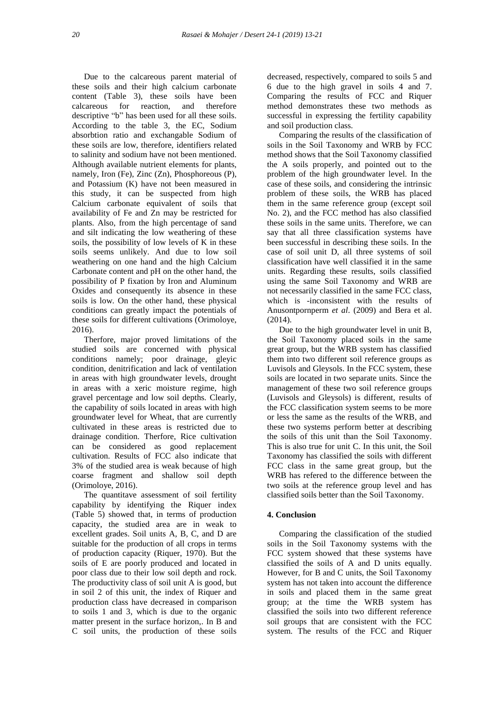Due to the calcareous parent material of these soils and their high calcium carbonate content (Table 3), these soils have been calcareous for reaction, and therefore descriptive "b" has been used for all these soils. According to the table 3, the EC, Sodium absorbtion ratio and exchangable Sodium of these soils are low, therefore, identifiers related to salinity and sodium have not been mentioned. Although available nutrient elements for plants, namely, Iron (Fe), Zinc (Zn), Phosphoreous (P), and Potassium (K) have not been measured in this study, it can be suspected from high Calcium carbonate equivalent of soils that availability of Fe and Zn may be restricted for plants. Also, from the high percentage of sand and silt indicating the low weathering of these soils, the possibility of low levels of K in these soils seems unlikely. And due to low soil weathering on one hand and the high Calcium Carbonate content and pH on the other hand, the possibility of P fixation by Iron and Aluminum Oxides and consequently its absence in these soils is low. On the other hand, these physical conditions can greatly impact the potentials of these soils for different cultivations (Orimoloye, 2016).

Therfore, major proved limitations of the studied soils are concerned with physical conditions namely; poor drainage, gleyic condition, denitrification and lack of ventilation in areas with high groundwater levels, drought in areas with a xeric moisture regime, high gravel percentage and low soil depths. Clearly, the capability of soils located in areas with high groundwater level for Wheat, that are currently cultivated in these areas is restricted due to drainage condition. Therfore, Rice cultivation can be considered as good replacement cultivation. Results of FCC also indicate that 3% of the studied area is weak because of high coarse fragment and shallow soil depth (Orimoloye, 2016).

The quantitave assessment of soil fertility capability by identifying the Riquer index (Table 5) showed that, in terms of production capacity, the studied area are in weak to excellent grades. Soil units A, B, C, and D are suitable for the production of all crops in terms of production capacity (Riquer, 1970). But the soils of E are poorly produced and located in poor class due to their low soil depth and rock. The productivity class of soil unit A is good, but in soil 2 of this unit, the index of Riquer and production class have decreased in comparison to soils 1 and 3, which is due to the organic matter present in the surface horizon,. In B and C soil units, the production of these soils

decreased, respectively, compared to soils 5 and 6 due to the high gravel in soils 4 and 7. Comparing the results of FCC and Riquer method demonstrates these two methods as successful in expressing the fertility capability and soil production class.

Comparing the results of the classification of soils in the Soil Taxonomy and WRB by FCC method shows that the Soil Taxonomy classified the A soils properly, and pointed out to the problem of the high groundwater level. In the case of these soils, and considering the intrinsic problem of these soils, the WRB has placed them in the same reference group (except soil No. 2), and the FCC method has also classified these soils in the same units. Therefore, we can say that all three classification systems have been successful in describing these soils. In the case of soil unit D, all three systems of soil classification have well classified it in the same units. Regarding these results, soils classified using the same Soil Taxonomy and WRB are not necessarily classified in the same FCC class, which is -inconsistent with the results of Anusontpornperm *et al*. (2009) and Bera et al. (2014).

Due to the high groundwater level in unit B, the Soil Taxonomy placed soils in the same great group, but the WRB system has classified them into two different soil reference groups as Luvisols and Gleysols. In the FCC system, these soils are located in two separate units. Since the management of these two soil reference groups (Luvisols and Gleysols) is different, results of the FCC classification system seems to be more or less the same as the results of the WRB, and these two systems perform better at describing the soils of this unit than the Soil Taxonomy. This is also true for unit C. In this unit, the Soil Taxonomy has classified the soils with different FCC class in the same great group, but the WRB has refered to the difference between the two soils at the reference group level and has classified soils better than the Soil Taxonomy.

#### **4. Conclusion**

Comparing the classification of the studied soils in the Soil Taxonomy systems with the FCC system showed that these systems have classified the soils of A and D units equally. However, for B and C units, the Soil Taxonomy system has not taken into account the difference in soils and placed them in the same great group; at the time the WRB system has classified the soils into two different reference soil groups that are consistent with the FCC system. The results of the FCC and Riquer